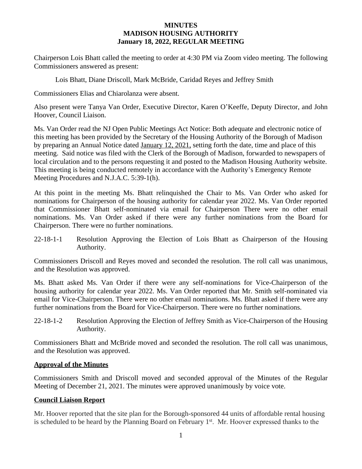#### **MINUTES MADISON HOUSING AUTHORITY January 18, 2022, REGULAR MEETING**

Chairperson Lois Bhatt called the meeting to order at 4:30 PM via Zoom video meeting. The following Commissioners answered as present:

Lois Bhatt, Diane Driscoll, Mark McBride, Caridad Reyes and Jeffrey Smith

Commissioners Elias and Chiarolanza were absent.

Also present were Tanya Van Order, Executive Director, Karen O'Keeffe, Deputy Director, and John Hoover, Council Liaison.

Ms. Van Order read the NJ Open Public Meetings Act Notice: Both adequate and electronic notice of this meeting has been provided by the Secretary of the Housing Authority of the Borough of Madison by preparing an Annual Notice dated January 12, 2021, setting forth the date, time and place of this meeting. Said notice was filed with the Clerk of the Borough of Madison, forwarded to newspapers of local circulation and to the persons requesting it and posted to the Madison Housing Authority website. This meeting is being conducted remotely in accordance with the Authority's Emergency Remote Meeting Procedures and N.J.A.C. 5:39-1(h).

At this point in the meeting Ms. Bhatt relinquished the Chair to Ms. Van Order who asked for nominations for Chairperson of the housing authority for calendar year 2022. Ms. Van Order reported that Commissioner Bhatt self-nominated via email for Chairperson There were no other email nominations. Ms. Van Order asked if there were any further nominations from the Board for Chairperson. There were no further nominations.

22-18-1-1 Resolution Approving the Election of Lois Bhatt as Chairperson of the Housing Authority.

Commissioners Driscoll and Reyes moved and seconded the resolution. The roll call was unanimous, and the Resolution was approved.

Ms. Bhatt asked Ms. Van Order if there were any self-nominations for Vice-Chairperson of the housing authority for calendar year 2022. Ms. Van Order reported that Mr. Smith self-nominated via email for Vice-Chairperson. There were no other email nominations. Ms. Bhatt asked if there were any further nominations from the Board for Vice-Chairperson. There were no further nominations.

22-18-1-2 Resolution Approving the Election of Jeffrey Smith as Vice-Chairperson of the Housing Authority.

Commissioners Bhatt and McBride moved and seconded the resolution. The roll call was unanimous, and the Resolution was approved.

#### **Approval of the Minutes**

Commissioners Smith and Driscoll moved and seconded approval of the Minutes of the Regular Meeting of December 21, 2021. The minutes were approved unanimously by voice vote.

#### **Council Liaison Report**

Mr. Hoover reported that the site plan for the Borough-sponsored 44 units of affordable rental housing is scheduled to be heard by the Planning Board on February 1<sup>st</sup>. Mr. Hoover expressed thanks to the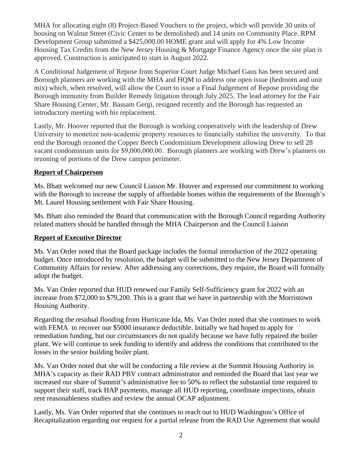MHA for allocating eight (8) Project-Based Vouchers to the project, which will provide 30 units of housing on Walnut Street (Civic Center to be demolished) and 14 units on Community Place. RPM Development Group submitted a \$425,000.00 HOME grant and will apply for 4% Low Income Housing Tax Credits from the New Jersey Housing & Mortgage Finance Agency once the site plan is approved. Construction is anticipated to start in August 2022.

A Conditional Judgement of Repose from Superior Court Judge Michael Gaus has been secured and Borough planners are working with the MHA and HQM to address one open issue (bedroom and unit mix) which, when resolved, will allow the Court to issue a Final Judgement of Repose providing the Borough immunity from Builder Remedy litigation through July 2025. The lead attorney for the Fair Share Housing Center, Mr. Bassam Gergi, resigned recently and the Borough has requested an introductory meeting with his replacement.

Lastly, Mr. Hoover reported that the Borough is working cooperatively with the leadership of Drew University to monetize non-academic property resources to financially stabilize the university. To that end the Borough rezoned the Copper Beech Condominium Development allowing Drew to sell 28 vacant condominium units for \$9,000,000.00. Borough planners are working with Drew's planners on rezoning of portions of the Drew campus perimeter.

#### **Report of Chairperson**

Ms. Bhatt welcomed our new Council Liaison Mr. Hoover and expressed our commitment to working with the Borough to increase the supply of affordable homes within the requirements of the Borough's Mt. Laurel Housing settlement with Fair Share Housing.

Ms. Bhatt also reminded the Board that communication with the Borough Council regarding Authority related matters should be handled through the MHA Chairperson and the Council Liaison

#### **Report of Executive Director**

Ms. Van Order noted that the Board package includes the formal introduction of the 2022 operating budget. Once introduced by resolution, the budget will be submitted to the New Jersey Department of Community Affairs for review. After addressing any corrections, they require, the Board will formally adopt the budget.

Ms. Van Order reported that HUD renewed our Family Self-Sufficiency grant for 2022 with an increase from \$72,000 to \$79,200. This is a grant that we have in partnership with the Morristown Housing Authority.

Regarding the residual flooding from Hurricane Ida, Ms. Van Order noted that she continues to work with FEMA to recover our \$5000 insurance deductible. Initially we had hoped to apply for remediation funding, but our circumstances do not qualify because we have fully repaired the boiler plant. We will continue to seek funding to identify and address the conditions that contributed to the losses in the senior building boiler plant.

Ms. Van Order noted that she will be conducting a file review at the Summit Housing Authority in MHA's capacity as their RAD PBV contract administrator and reminded the Board that last year we increased our share of Summit's administrative fee to 50% to reflect the substantial time required to support their staff, track HAP payments, manage all HUD reporting, coordinate inspections, obtain rent reasonableness studies and review the annual OCAP adjustment.

Lastly, Ms. Van Order reported that she continues to reach out to HUD Washington's Office of Recapitalization regarding our request for a partial release from the RAD Use Agreement that would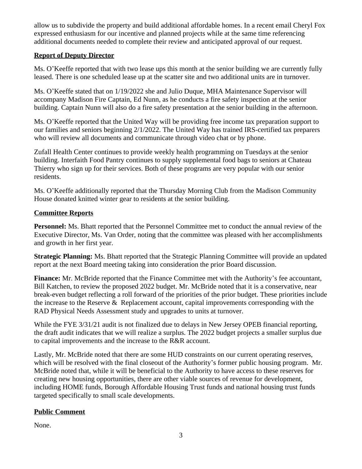allow us to subdivide the property and build additional affordable homes. In a recent email Cheryl Fox expressed enthusiasm for our incentive and planned projects while at the same time referencing additional documents needed to complete their review and anticipated approval of our request.

# **Report of Deputy Director**

Ms. O'Keeffe reported that with two lease ups this month at the senior building we are currently fully leased. There is one scheduled lease up at the scatter site and two additional units are in turnover.

Ms. O'Keeffe stated that on 1/19/2022 she and Julio Duque, MHA Maintenance Supervisor will accompany Madison Fire Captain, Ed Nunn, as he conducts a fire safety inspection at the senior building. Captain Nunn will also do a fire safety presentation at the senior building in the afternoon.

Ms. O'Keeffe reported that the United Way will be providing free income tax preparation support to our families and seniors beginning 2/1/2022. The United Way has trained IRS-certified tax preparers who will review all documents and communicate through video chat or by phone.

Zufall Health Center continues to provide weekly health programming on Tuesdays at the senior building. Interfaith Food Pantry continues to supply supplemental food bags to seniors at Chateau Thierry who sign up for their services. Both of these programs are very popular with our senior residents.

Ms. O'Keeffe additionally reported that the Thursday Morning Club from the Madison Community House donated knitted winter gear to residents at the senior building.

# **Committee Reports**

**Personnel:** Ms. Bhatt reported that the Personnel Committee met to conduct the annual review of the Executive Director, Ms. Van Order, noting that the committee was pleased with her accomplishments and growth in her first year.

**Strategic Planning:** Ms. Bhatt reported that the Strategic Planning Committee will provide an updated report at the next Board meeting taking into consideration the prior Board discussion.

**Finance:** Mr. McBride reported that the Finance Committee met with the Authority's fee accountant, Bill Katchen, to review the proposed 2022 budget. Mr. McBride noted that it is a conservative, near break-even budget reflecting a roll forward of the priorities of the prior budget. These priorities include the increase to the Reserve & Replacement account, capital improvements corresponding with the RAD Physical Needs Assessment study and upgrades to units at turnover.

While the FYE  $3/31/21$  audit is not finalized due to delays in New Jersey OPEB financial reporting, the draft audit indicates that we will realize a surplus. The 2022 budget projects a smaller surplus due to capital improvements and the increase to the R&R account.

Lastly, Mr. McBride noted that there are some HUD constraints on our current operating reserves, which will be resolved with the final closeout of the Authority's former public housing program. Mr. McBride noted that, while it will be beneficial to the Authority to have access to these reserves for creating new housing opportunities, there are other viable sources of revenue for development, including HOME funds, Borough Affordable Housing Trust funds and national housing trust funds targeted specifically to small scale developments.

# **Public Comment**

None.